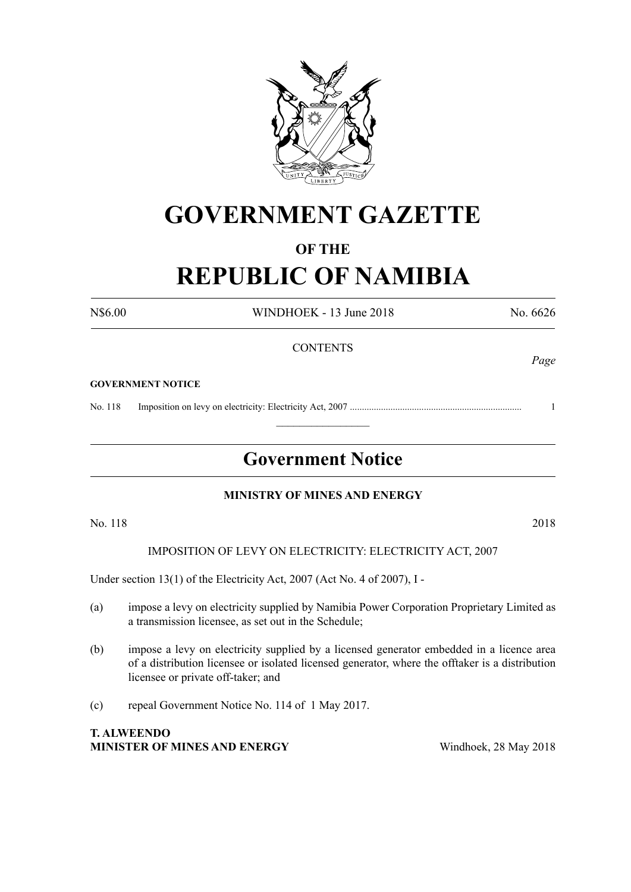

# **GOVERNMENT GAZETTE**

## **OF THE REPUBLIC OF NAMIBIA**

N\$6.00 WINDHOEK - 13 June 2018 No. 6626 **CONTENTS** *Page* **GOVERNMENT NOTICE**

No. 118 Imposition on levy on electricity: Electricity Act, 2007 ........................................................................ 1

### **Government Notice**

 $\frac{1}{2}$ 

#### **MINISTRY OF MINES AND ENERGY**

No. 118 2018

IMPOSITION OF LEVY ON ELECTRICITY: ELECTRICITY ACT, 2007

Under section 13(1) of the Electricity Act, 2007 (Act No. 4 of 2007), I -

- (a) impose a levy on electricity supplied by Namibia Power Corporation Proprietary Limited as a transmission licensee, as set out in the Schedule;
- (b) impose a levy on electricity supplied by a licensed generator embedded in a licence area of a distribution licensee or isolated licensed generator, where the offtaker is a distribution licensee or private off-taker; and
- (c) repeal Government Notice No. 114 of 1 May 2017.

**T. ALWEENDO MINISTER OF MINES AND ENERGY** Windhoek, 28 May 2018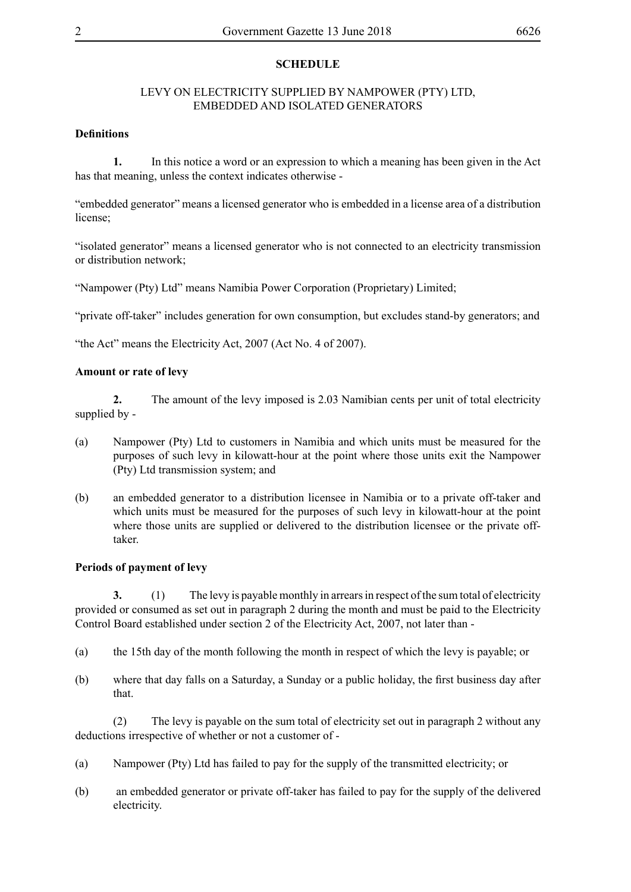#### **SCHEDULE**

#### LEVY ON ELECTRICITY SUPPLIED BY NAMPOWER (PTY) LTD, EMBEDDED AND ISOLATED GENERATORS

#### **Definitions**

**1.** In this notice a word or an expression to which a meaning has been given in the Act has that meaning, unless the context indicates otherwise -

"embedded generator" means a licensed generator who is embedded in a license area of a distribution license;

"isolated generator" means a licensed generator who is not connected to an electricity transmission or distribution network;

"Nampower (Pty) Ltd" means Namibia Power Corporation (Proprietary) Limited;

"private off-taker" includes generation for own consumption, but excludes stand-by generators; and

"the Act" means the Electricity Act, 2007 (Act No. 4 of 2007).

#### **Amount or rate of levy**

**2.** The amount of the levy imposed is 2.03 Namibian cents per unit of total electricity supplied by -

- (a) Nampower (Pty) Ltd to customers in Namibia and which units must be measured for the purposes of such levy in kilowatt-hour at the point where those units exit the Nampower (Pty) Ltd transmission system; and
- (b) an embedded generator to a distribution licensee in Namibia or to a private off-taker and which units must be measured for the purposes of such levy in kilowatt-hour at the point where those units are supplied or delivered to the distribution licensee or the private offtaker.

#### **Periods of payment of levy**

**3.** (1) The levy is payable monthly in arrears in respect of the sum total of electricity provided or consumed as set out in paragraph 2 during the month and must be paid to the Electricity Control Board established under section 2 of the Electricity Act, 2007, not later than -

- (a) the 15th day of the month following the month in respect of which the levy is payable; or
- (b) where that day falls on a Saturday, a Sunday or a public holiday, the first business day after that.

(2) The levy is payable on the sum total of electricity set out in paragraph 2 without any deductions irrespective of whether or not a customer of -

- (a) Nampower (Pty) Ltd has failed to pay for the supply of the transmitted electricity; or
- (b) an embedded generator or private off-taker has failed to pay for the supply of the delivered electricity.